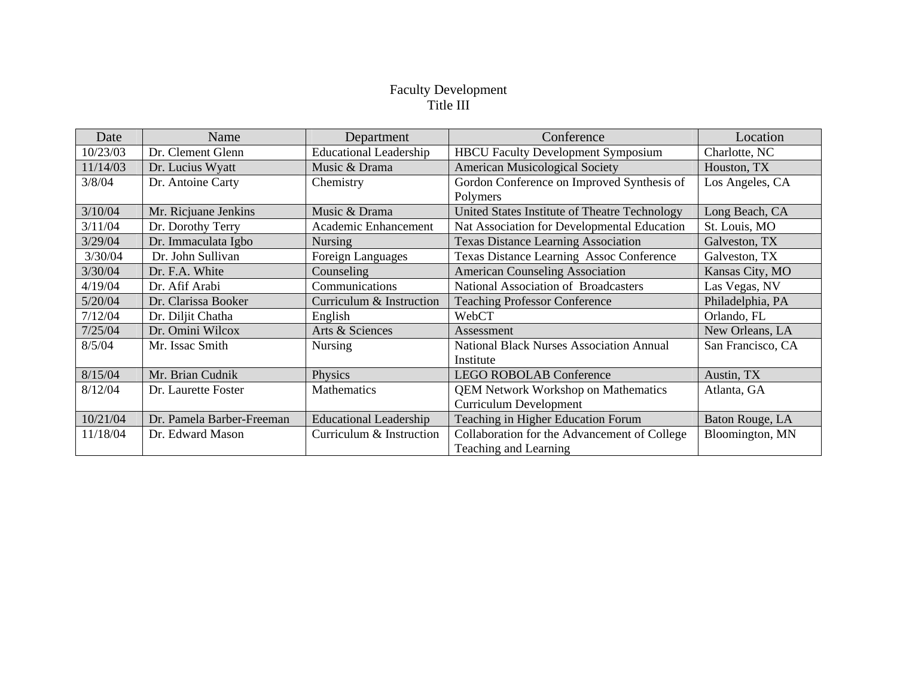## Faculty Development Title III

| Date     | Name                      | Department                    | Conference                                      | Location          |
|----------|---------------------------|-------------------------------|-------------------------------------------------|-------------------|
| 10/23/03 | Dr. Clement Glenn         | <b>Educational Leadership</b> | <b>HBCU</b> Faculty Development Symposium       | Charlotte, NC     |
| 11/14/03 | Dr. Lucius Wyatt          | Music & Drama                 | <b>American Musicological Society</b>           | Houston, TX       |
| 3/8/04   | Dr. Antoine Carty         | Chemistry                     | Gordon Conference on Improved Synthesis of      | Los Angeles, CA   |
|          |                           |                               | Polymers                                        |                   |
| 3/10/04  | Mr. Ricjuane Jenkins      | Music & Drama                 | United States Institute of Theatre Technology   | Long Beach, CA    |
| 3/11/04  | Dr. Dorothy Terry         | Academic Enhancement          | Nat Association for Developmental Education     | St. Louis, MO     |
| 3/29/04  | Dr. Immaculata Igbo       | <b>Nursing</b>                | <b>Texas Distance Learning Association</b>      | Galveston, TX     |
| 3/30/04  | Dr. John Sullivan         | Foreign Languages             | <b>Texas Distance Learning Assoc Conference</b> | Galveston, TX     |
| 3/30/04  | Dr. F.A. White            | Counseling                    | <b>American Counseling Association</b>          | Kansas City, MO   |
| 4/19/04  | Dr. Afif Arabi            | Communications                | <b>National Association of Broadcasters</b>     | Las Vegas, NV     |
| 5/20/04  | Dr. Clarissa Booker       | Curriculum & Instruction      | <b>Teaching Professor Conference</b>            | Philadelphia, PA  |
| 7/12/04  | Dr. Diljit Chatha         | English                       | WebCT                                           | Orlando, FL       |
| 7/25/04  | Dr. Omini Wilcox          | Arts & Sciences               | Assessment                                      | New Orleans, LA   |
| 8/5/04   | Mr. Issac Smith           | Nursing                       | <b>National Black Nurses Association Annual</b> | San Francisco, CA |
|          |                           |                               | Institute                                       |                   |
| 8/15/04  | Mr. Brian Cudnik          | Physics                       | <b>LEGO ROBOLAB Conference</b>                  | Austin, TX        |
| 8/12/04  | Dr. Laurette Foster       | <b>Mathematics</b>            | <b>QEM Network Workshop on Mathematics</b>      | Atlanta, GA       |
|          |                           |                               | <b>Curriculum Development</b>                   |                   |
| 10/21/04 | Dr. Pamela Barber-Freeman | <b>Educational Leadership</b> | Teaching in Higher Education Forum              | Baton Rouge, LA   |
| 11/18/04 | Dr. Edward Mason          | Curriculum & Instruction      | Collaboration for the Advancement of College    | Bloomington, MN   |
|          |                           |                               | Teaching and Learning                           |                   |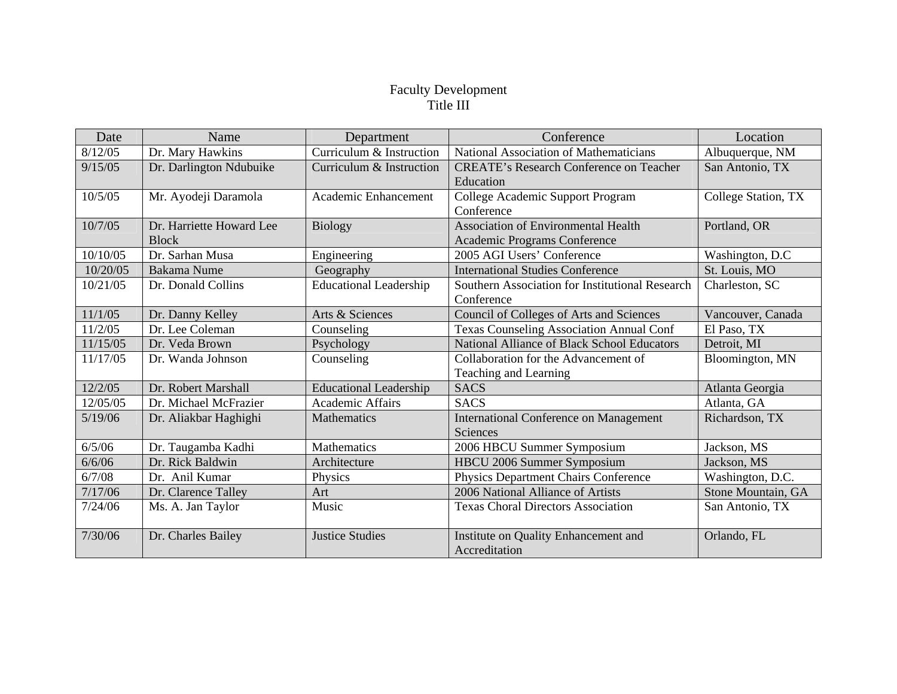## Faculty Development Title III

| Date     | Name                     | Department                    | Conference                                      | Location            |
|----------|--------------------------|-------------------------------|-------------------------------------------------|---------------------|
| 8/12/05  | Dr. Mary Hawkins         | Curriculum & Instruction      | National Association of Mathematicians          | Albuquerque, NM     |
| 9/15/05  | Dr. Darlington Ndubuike  | Curriculum & Instruction      | <b>CREATE's Research Conference on Teacher</b>  | San Antonio, TX     |
|          |                          |                               | Education                                       |                     |
| 10/5/05  | Mr. Ayodeji Daramola     | <b>Academic Enhancement</b>   | College Academic Support Program                | College Station, TX |
|          |                          |                               | Conference                                      |                     |
| 10/7/05  | Dr. Harriette Howard Lee | <b>Biology</b>                | <b>Association of Environmental Health</b>      | Portland, OR        |
|          | <b>Block</b>             |                               | Academic Programs Conference                    |                     |
| 10/10/05 | Dr. Sarhan Musa          | Engineering                   | 2005 AGI Users' Conference                      | Washington, D.C     |
| 10/20/05 | <b>Bakama Nume</b>       | Geography                     | <b>International Studies Conference</b>         | St. Louis, MO       |
| 10/21/05 | Dr. Donald Collins       | <b>Educational Leadership</b> | Southern Association for Institutional Research | Charleston, SC      |
|          |                          |                               | Conference                                      |                     |
| 11/1/05  | Dr. Danny Kelley         | Arts & Sciences               | Council of Colleges of Arts and Sciences        | Vancouver, Canada   |
| 11/2/05  | Dr. Lee Coleman          | Counseling                    | <b>Texas Counseling Association Annual Conf</b> | El Paso, TX         |
| 11/15/05 | Dr. Veda Brown           | Psychology                    | National Alliance of Black School Educators     | Detroit, MI         |
| 11/17/05 | Dr. Wanda Johnson        | Counseling                    | Collaboration for the Advancement of            | Bloomington, MN     |
|          |                          |                               | Teaching and Learning                           |                     |
| 12/2/05  | Dr. Robert Marshall      | <b>Educational Leadership</b> | <b>SACS</b>                                     | Atlanta Georgia     |
| 12/05/05 | Dr. Michael McFrazier    | <b>Academic Affairs</b>       | <b>SACS</b>                                     | Atlanta, GA         |
| 5/19/06  | Dr. Aliakbar Haghighi    | Mathematics                   | <b>International Conference on Management</b>   | Richardson, TX      |
|          |                          |                               | <b>Sciences</b>                                 |                     |
| 6/5/06   | Dr. Taugamba Kadhi       | <b>Mathematics</b>            | 2006 HBCU Summer Symposium                      | Jackson, MS         |
| 6/6/06   | Dr. Rick Baldwin         | Architecture                  | HBCU 2006 Summer Symposium                      | Jackson, MS         |
| 6/7/08   | Dr. Anil Kumar           | Physics                       | Physics Department Chairs Conference            | Washington, D.C.    |
| 7/17/06  | Dr. Clarence Talley      | Art                           | 2006 National Alliance of Artists               | Stone Mountain, GA  |
| 7/24/06  | Ms. A. Jan Taylor        | Music                         | <b>Texas Choral Directors Association</b>       | San Antonio, TX     |
|          |                          |                               |                                                 |                     |
| 7/30/06  | Dr. Charles Bailey       | <b>Justice Studies</b>        | Institute on Quality Enhancement and            | Orlando, FL         |
|          |                          |                               | Accreditation                                   |                     |